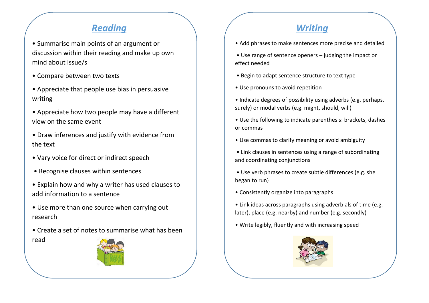## *Reading Writing*

- Summarise main points of an argument or discussion within their reading and make up own mind about issue/s
- Compare between two texts
- Appreciate that people use bias in persuasive writing
- Appreciate how two people may have a different view on the same event
- Draw inferences and justify with evidence from the text
- Vary voice for direct or indirect speech
- Recognise clauses within sentences
- Explain how and why a writer has used clauses to add information to a sentence
- Use more than one source when carrying out research
- Create a set of notes to summarise what has been read



- Add phrases to make sentences more precise and detailed
- Use range of sentence openers judging the impact or effect needed
- Begin to adapt sentence structure to text type
- Use pronouns to avoid repetition
- Indicate degrees of possibility using adverbs (e.g. perhaps, surely) or modal verbs (e.g. might, should, will)
- Use the following to indicate parenthesis: brackets, dashes or commas
- Use commas to clarify meaning or avoid ambiguity
- Link clauses in sentences using a range of subordinating and coordinating conjunctions
- Use verb phrases to create subtle differences (e.g. she began to run)
- Consistently organize into paragraphs
- Link ideas across paragraphs using adverbials of time (e.g. later), place (e.g. nearby) and number (e.g. secondly)
- Write legibly, fluently and with increasing speed